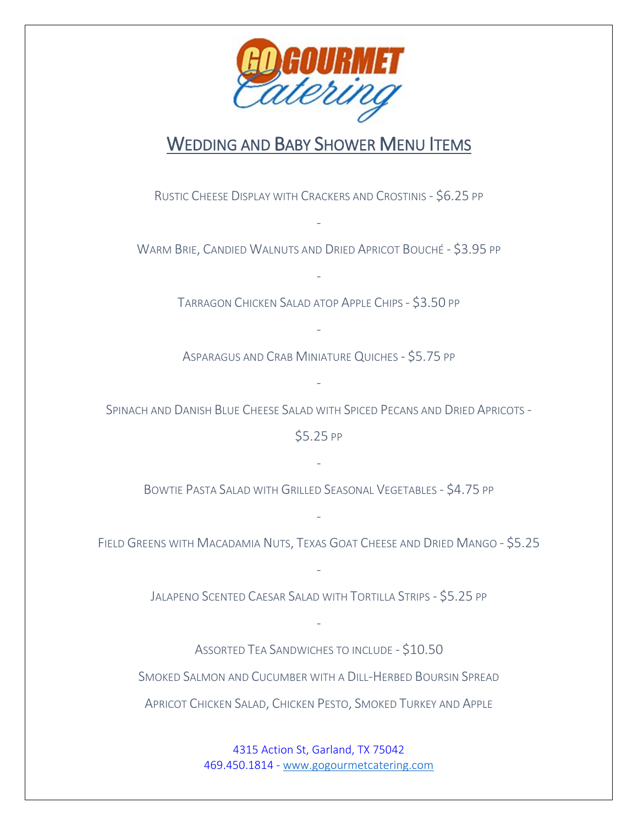

## WEDDING AND BABY SHOWER MENU ITEMS

RUSTIC CHEESE DISPLAY WITH CRACKERS AND CROSTINIS - \$6.25 PP

WARM BRIE, CANDIED WALNUTS AND DRIED APRICOT BOUCHÉ - \$3.95 PP

-

TARRAGON CHICKEN SALAD ATOP APPLE CHIPS - \$3.50 PP

-

ASPARAGUS AND CRAB MINIATURE QUICHES - \$5.75 PP

-

SPINACH AND DANISH BLUE CHEESE SALAD WITH SPICED PECANS AND DRIED APRICOTS -

-

\$5.25 PP

BOWTIE PASTA SALAD WITH GRILLED SEASONAL VEGETABLES - \$4.75 PP

-

FIELD GREENS WITH MACADAMIA NUTS, TEXAS GOAT CHEESE AND DRIED MANGO - \$5.25

-

JALAPENO SCENTED CAESAR SALAD WITH TORTILLA STRIPS - \$5.25 PP

-

-

ASSORTED TEA SANDWICHES TO INCLUDE - \$10.50 SMOKED SALMON AND CUCUMBER WITH A DILL-HERBED BOURSIN SPREAD APRICOT CHICKEN SALAD, CHICKEN PESTO, SMOKED TURKEY AND APPLE

> 4315 Action St, Garland, TX 75042 469.450.1814 - [www.gogourmetcatering.com](http://www.gogourmetcatering.com/)